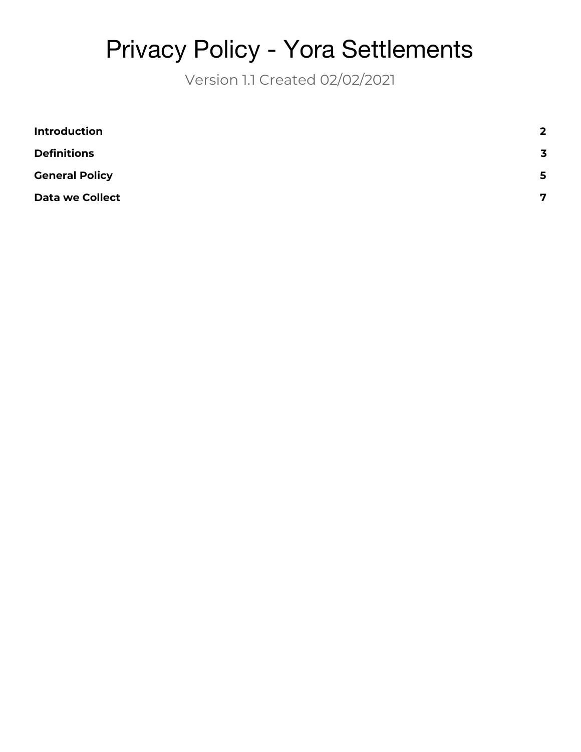# Privacy Policy - Yora Settlements

Version 1.1 Created 02/02/2021

| <b>Introduction</b>    | $\overline{2}$          |
|------------------------|-------------------------|
| <b>Definitions</b>     | $\overline{\mathbf{3}}$ |
| <b>General Policy</b>  | 5                       |
| <b>Data we Collect</b> | 7                       |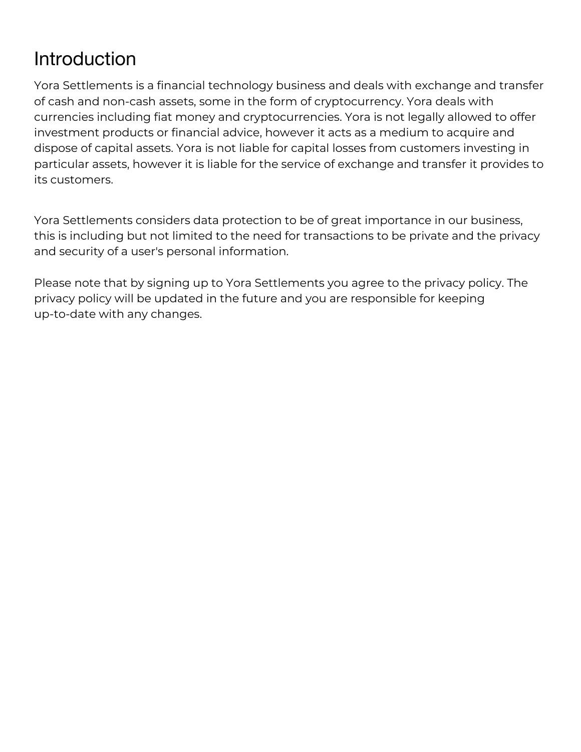## <span id="page-1-0"></span>Introduction

Yora Settlements is a financial technology business and deals with exchange and transfer of cash and non-cash assets, some in the form of cryptocurrency. Yora deals with currencies including fiat money and cryptocurrencies. Yora is not legally allowed to offer investment products or financial advice, however it acts as a medium to acquire and dispose of capital assets. Yora is not liable for capital losses from customers investing in particular assets, however it is liable for the service of exchange and transfer it provides to its customers.

Yora Settlements considers data protection to be of great importance in our business, this is including but not limited to the need for transactions to be private and the privacy and security of a user's personal information.

Please note that by signing up to Yora Settlements you agree to the privacy policy. The privacy policy will be updated in the future and you are responsible for keeping up-to-date with any changes.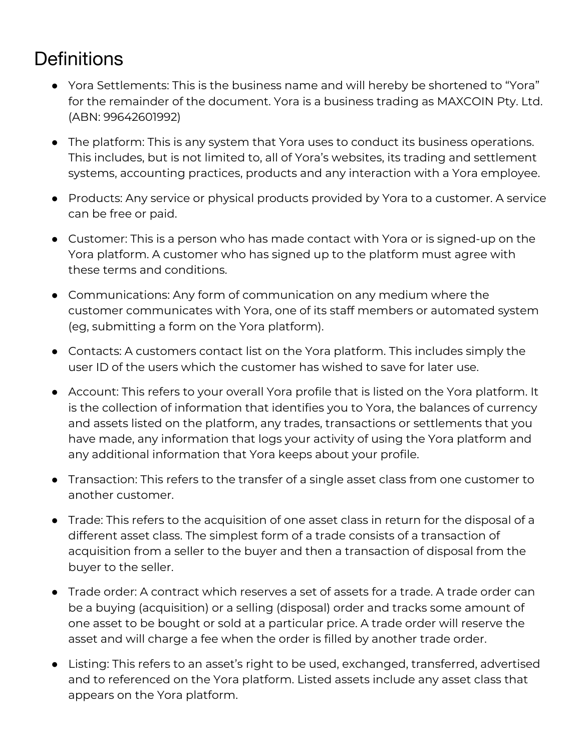## <span id="page-2-0"></span>**Definitions**

- Yora Settlements: This is the business name and will hereby be shortened to "Yora" for the remainder of the document. Yora is a business trading as MAXCOIN Pty. Ltd. (ABN: 99642601992)
- The platform: This is any system that Yora uses to conduct its business operations. This includes, but is not limited to, all of Yora's websites, its trading and settlement systems, accounting practices, products and any interaction with a Yora employee.
- Products: Any service or physical products provided by Yora to a customer. A service can be free or paid.
- Customer: This is a person who has made contact with Yora or is signed-up on the Yora platform. A customer who has signed up to the platform must agree with these terms and conditions.
- Communications: Any form of communication on any medium where the customer communicates with Yora, one of its staff members or automated system (eg, submitting a form on the Yora platform).
- Contacts: A customers contact list on the Yora platform. This includes simply the user ID of the users which the customer has wished to save for later use.
- Account: This refers to your overall Yora profile that is listed on the Yora platform. It is the collection of information that identifies you to Yora, the balances of currency and assets listed on the platform, any trades, transactions or settlements that you have made, any information that logs your activity of using the Yora platform and any additional information that Yora keeps about your profile.
- Transaction: This refers to the transfer of a single asset class from one customer to another customer.
- Trade: This refers to the acquisition of one asset class in return for the disposal of a different asset class. The simplest form of a trade consists of a transaction of acquisition from a seller to the buyer and then a transaction of disposal from the buyer to the seller.
- Trade order: A contract which reserves a set of assets for a trade. A trade order can be a buying (acquisition) or a selling (disposal) order and tracks some amount of one asset to be bought or sold at a particular price. A trade order will reserve the asset and will charge a fee when the order is filled by another trade order.
- Listing: This refers to an asset's right to be used, exchanged, transferred, advertised and to referenced on the Yora platform. Listed assets include any asset class that appears on the Yora platform.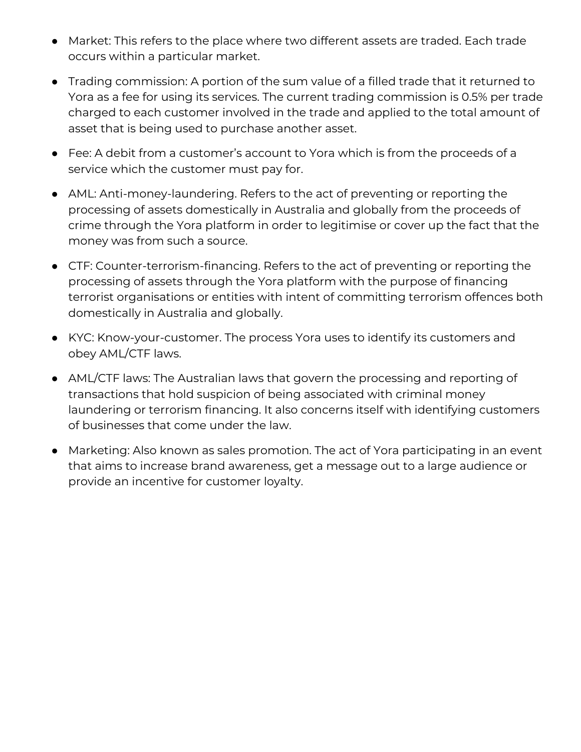- Market: This refers to the place where two different assets are traded. Each trade occurs within a particular market.
- Trading commission: A portion of the sum value of a filled trade that it returned to Yora as a fee for using its services. The current trading commission is 0.5% per trade charged to each customer involved in the trade and applied to the total amount of asset that is being used to purchase another asset.
- Fee: A debit from a customer's account to Yora which is from the proceeds of a service which the customer must pay for.
- AML: Anti-money-laundering. Refers to the act of preventing or reporting the processing of assets domestically in Australia and globally from the proceeds of crime through the Yora platform in order to legitimise or cover up the fact that the money was from such a source.
- CTF: Counter-terrorism-financing. Refers to the act of preventing or reporting the processing of assets through the Yora platform with the purpose of financing terrorist organisations or entities with intent of committing terrorism offences both domestically in Australia and globally.
- KYC: Know-your-customer. The process Yora uses to identify its customers and obey AML/CTF laws.
- AML/CTF laws: The Australian laws that govern the processing and reporting of transactions that hold suspicion of being associated with criminal money laundering or terrorism financing. It also concerns itself with identifying customers of businesses that come under the law.
- Marketing: Also known as sales promotion. The act of Yora participating in an event that aims to increase brand awareness, get a message out to a large audience or provide an incentive for customer loyalty.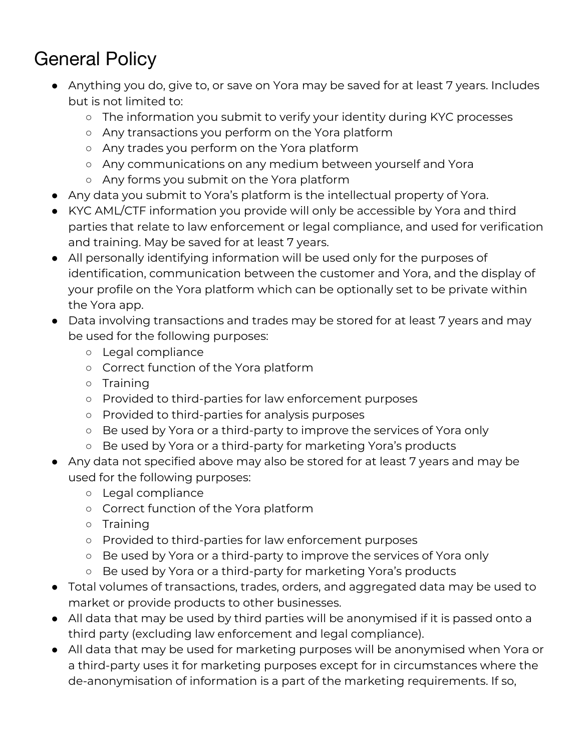# <span id="page-4-0"></span>General Policy

- Anything you do, give to, or save on Yora may be saved for at least 7 years. Includes but is not limited to:
	- The information you submit to verify your identity during KYC processes
	- Any transactions you perform on the Yora platform
	- Any trades you perform on the Yora platform
	- Any communications on any medium between yourself and Yora
	- Any forms you submit on the Yora platform
- Any data you submit to Yora's platform is the intellectual property of Yora.
- KYC AML/CTF information you provide will only be accessible by Yora and third parties that relate to law enforcement or legal compliance, and used for verification and training. May be saved for at least 7 years.
- All personally identifying information will be used only for the purposes of identification, communication between the customer and Yora, and the display of your profile on the Yora platform which can be optionally set to be private within the Yora app.
- Data involving transactions and trades may be stored for at least 7 years and may be used for the following purposes:
	- Legal compliance
	- Correct function of the Yora platform
	- Training
	- Provided to third-parties for law enforcement purposes
	- Provided to third-parties for analysis purposes
	- Be used by Yora or a third-party to improve the services of Yora only
	- Be used by Yora or a third-party for marketing Yora's products
- Any data not specified above may also be stored for at least 7 years and may be used for the following purposes:
	- Legal compliance
	- Correct function of the Yora platform
	- Training
	- Provided to third-parties for law enforcement purposes
	- Be used by Yora or a third-party to improve the services of Yora only
	- Be used by Yora or a third-party for marketing Yora's products
- Total volumes of transactions, trades, orders, and aggregated data may be used to market or provide products to other businesses.
- All data that may be used by third parties will be anonymised if it is passed onto a third party (excluding law enforcement and legal compliance).
- All data that may be used for marketing purposes will be anonymised when Yora or a third-party uses it for marketing purposes except for in circumstances where the de-anonymisation of information is a part of the marketing requirements. If so,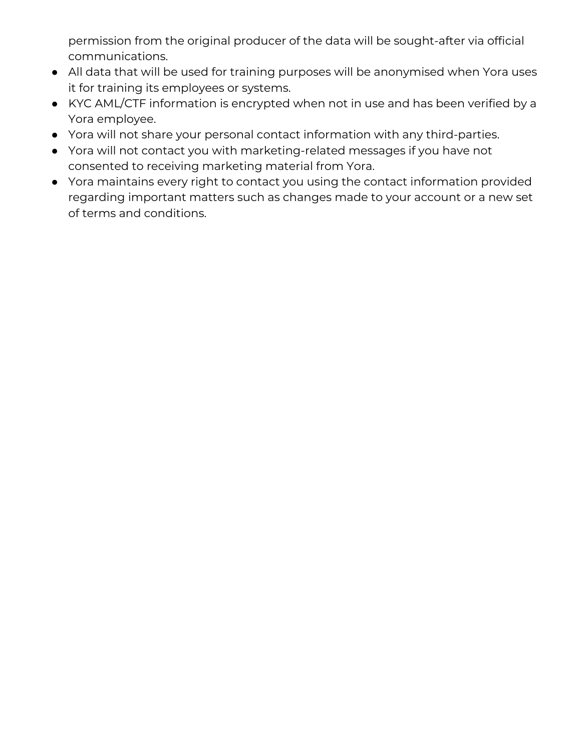permission from the original producer of the data will be sought-after via official communications.

- All data that will be used for training purposes will be anonymised when Yora uses it for training its employees or systems.
- KYC AML/CTF information is encrypted when not in use and has been verified by a Yora employee.
- Yora will not share your personal contact information with any third-parties.
- Yora will not contact you with marketing-related messages if you have not consented to receiving marketing material from Yora.
- Yora maintains every right to contact you using the contact information provided regarding important matters such as changes made to your account or a new set of terms and conditions.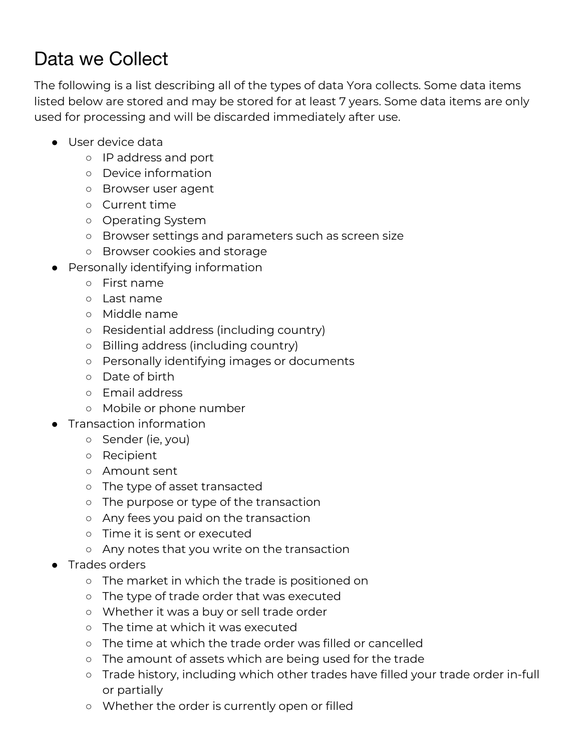## <span id="page-6-0"></span>Data we Collect

The following is a list describing all of the types of data Yora collects. Some data items listed below are stored and may be stored for at least 7 years. Some data items are only used for processing and will be discarded immediately after use.

- User device data
	- IP address and port
	- Device information
	- Browser user agent
	- Current time
	- Operating System
	- Browser settings and parameters such as screen size
	- Browser cookies and storage
- Personally identifying information
	- First name
	- Last name
	- Middle name
	- Residential address (including country)
	- Billing address (including country)
	- Personally identifying images or documents
	- Date of birth
	- Email address
	- Mobile or phone number
- Transaction information
	- Sender (ie, you)
	- Recipient
	- Amount sent
	- The type of asset transacted
	- The purpose or type of the transaction
	- Any fees you paid on the transaction
	- Time it is sent or executed
	- Any notes that you write on the transaction
- Trades orders
	- The market in which the trade is positioned on
	- The type of trade order that was executed
	- Whether it was a buy or sell trade order
	- The time at which it was executed
	- The time at which the trade order was filled or cancelled
	- The amount of assets which are being used for the trade
	- Trade history, including which other trades have filled your trade order in-full or partially
	- Whether the order is currently open or filled